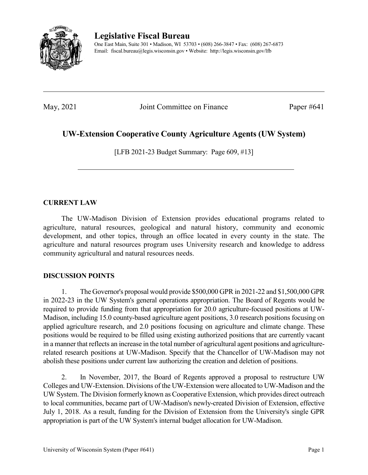

**Legislative Fiscal Bureau**

One East Main, Suite 301 • Madison, WI 53703 • (608) 266-3847 • Fax: (608) 267-6873 Email: fiscal.bureau@legis.wisconsin.gov • Website:<http://legis.wisconsin.gov/lfb>

May, 2021 Joint Committee on Finance Paper #641

## **UW-Extension Cooperative County Agriculture Agents (UW System)**

[LFB 2021-23 Budget Summary: Page 609, #13]

## **CURRENT LAW**

The UW-Madison Division of Extension provides educational programs related to agriculture, natural resources, geological and natural history, community and economic development, and other topics, through an office located in every county in the state. The agriculture and natural resources program uses University research and knowledge to address community agricultural and natural resources needs.

## **DISCUSSION POINTS**

1. The Governor's proposal would provide \$500,000 GPR in 2021-22 and \$1,500,000 GPR in 2022-23 in the UW System's general operations appropriation. The Board of Regents would be required to provide funding from that appropriation for 20.0 agriculture-focused positions at UW-Madison, including 15.0 county-based agriculture agent positions, 3.0 research positions focusing on applied agriculture research, and 2.0 positions focusing on agriculture and climate change. These positions would be required to be filled using existing authorized positions that are currently vacant in a manner that reflects an increase in the total number of agricultural agent positions and agriculturerelated research positions at UW-Madison. Specify that the Chancellor of UW-Madison may not abolish these positions under current law authorizing the creation and deletion of positions.

2. In November, 2017, the Board of Regents approved a proposal to restructure UW Colleges and UW-Extension. Divisions of the UW-Extension were allocated to UW-Madison and the UW System. The Division formerly known as Cooperative Extension, which provides direct outreach to local communities, became part of UW-Madison's newly-created Division of Extension, effective July 1, 2018. As a result, funding for the Division of Extension from the University's single GPR appropriation is part of the UW System's internal budget allocation for UW-Madison.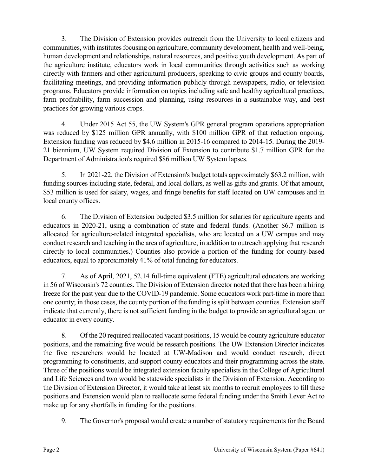3. The Division of Extension provides outreach from the University to local citizens and communities, with institutes focusing on agriculture, community development, health and well-being, human development and relationships, natural resources, and positive youth development. As part of the agriculture institute, educators work in local communities through activities such as working directly with farmers and other agricultural producers, speaking to civic groups and county boards, facilitating meetings, and providing information publicly through newspapers, radio, or television programs. Educators provide information on topics including safe and healthy agricultural practices, farm profitability, farm succession and planning, using resources in a sustainable way, and best practices for growing various crops.

4. Under 2015 Act 55, the UW System's GPR general program operations appropriation was reduced by \$125 million GPR annually, with \$100 million GPR of that reduction ongoing. Extension funding was reduced by \$4.6 million in 2015-16 compared to 2014-15. During the 2019- 21 biennium, UW System required Division of Extension to contribute \$1.7 million GPR for the Department of Administration's required \$86 million UW System lapses.

5. In 2021-22, the Division of Extension's budget totals approximately \$63.2 million, with funding sources including state, federal, and local dollars, as well as gifts and grants. Of that amount, \$53 million is used for salary, wages, and fringe benefits for staff located on UW campuses and in local county offices.

6. The Division of Extension budgeted \$3.5 million for salaries for agriculture agents and educators in 2020-21, using a combination of state and federal funds. (Another \$6.7 million is allocated for agriculture-related integrated specialists, who are located on a UW campus and may conduct research and teaching in the area of agriculture, in addition to outreach applying that research directly to local communities.) Counties also provide a portion of the funding for county-based educators, equal to approximately 41% of total funding for educators.

7. As of April, 2021, 52.14 full-time equivalent (FTE) agricultural educators are working in 56 of Wisconsin's 72 counties. The Division of Extension director noted that there has been a hiring freeze for the past year due to the COVID-19 pandemic. Some educators work part-time in more than one county; in those cases, the county portion of the funding is split between counties. Extension staff indicate that currently, there is not sufficient funding in the budget to provide an agricultural agent or educator in every county.

8. Of the 20 required reallocated vacant positions, 15 would be county agriculture educator positions, and the remaining five would be research positions. The UW Extension Director indicates the five researchers would be located at UW-Madison and would conduct research, direct programming to constituents, and support county educators and their programming across the state. Three of the positions would be integrated extension faculty specialists in the College of Agricultural and Life Sciences and two would be statewide specialists in the Division of Extension. According to the Division of Extension Director, it would take at least six months to recruit employees to fill these positions and Extension would plan to reallocate some federal funding under the Smith Lever Act to make up for any shortfalls in funding for the positions.

9. The Governor's proposal would create a number of statutory requirements for the Board